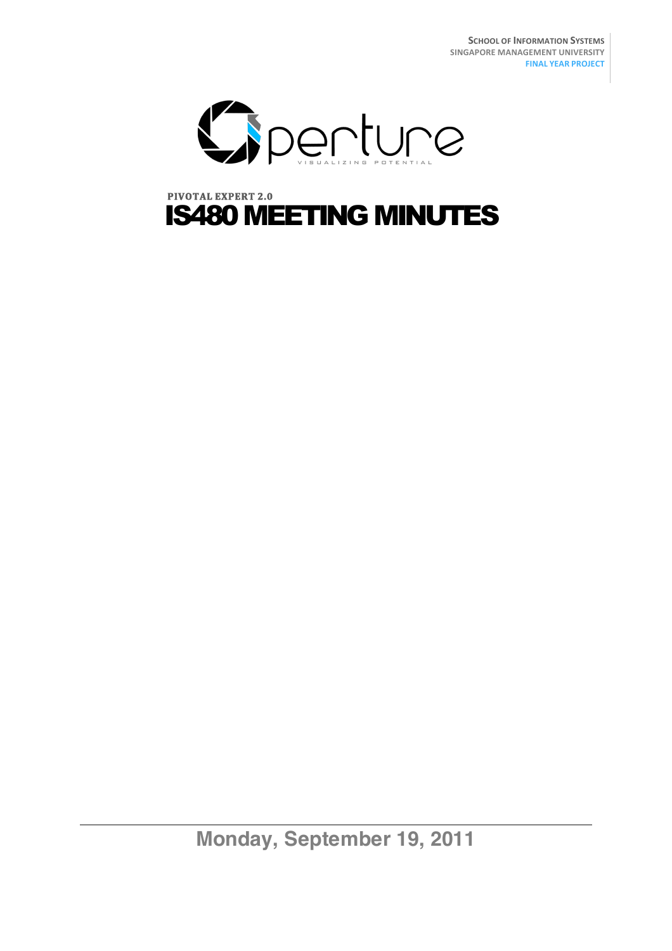

# **PIVOTAL EXPERT 2.0** IS480 MEETING MINUTES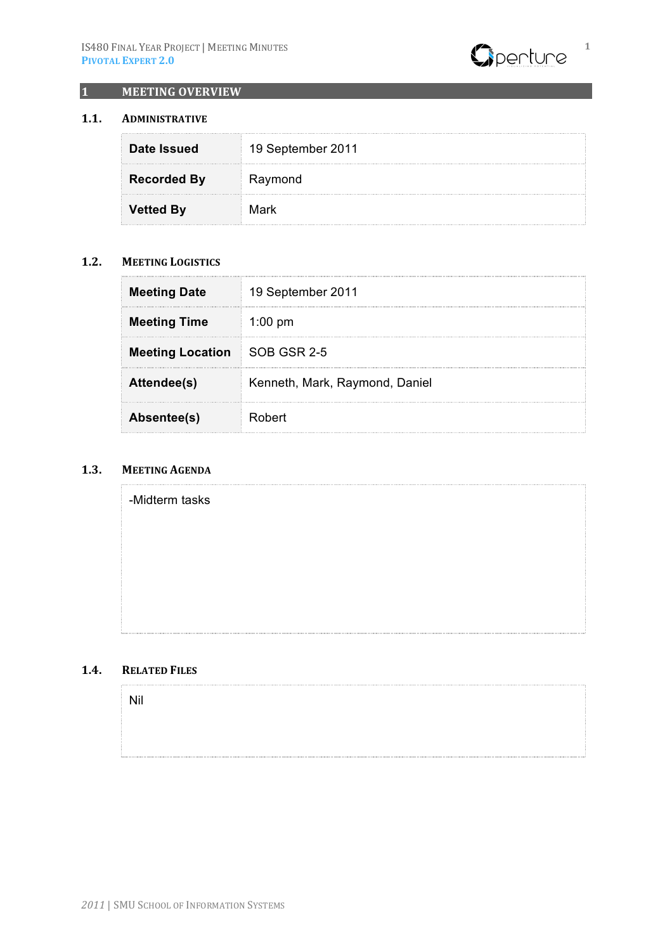

#### **1 MEETING OVERVIEW**

## **1.1. ADMINISTRATIVE**

| Date Issued        | 19 September 2011 |
|--------------------|-------------------|
| <b>Recorded By</b> | Raymond           |
| <b>Vetted By</b>   | Mark              |

#### **1.2. MEETING LOGISTICS**

| <b>Meeting Date</b>                 | 19 September 2011              |
|-------------------------------------|--------------------------------|
| <b>Meeting Time</b>                 | $1:00 \text{ pm}$              |
| <b>Meeting Location SOB GSR 2-5</b> |                                |
| Attendee(s)                         | Kenneth, Mark, Raymond, Daniel |
| Absentee(s)                         | Robert                         |

## 1.3. **MEETING AGENDA**

| -Midterm tasks |  |
|----------------|--|
|                |  |
|                |  |
|                |  |
|                |  |

#### 1.4. **RELATED FILES**

Nil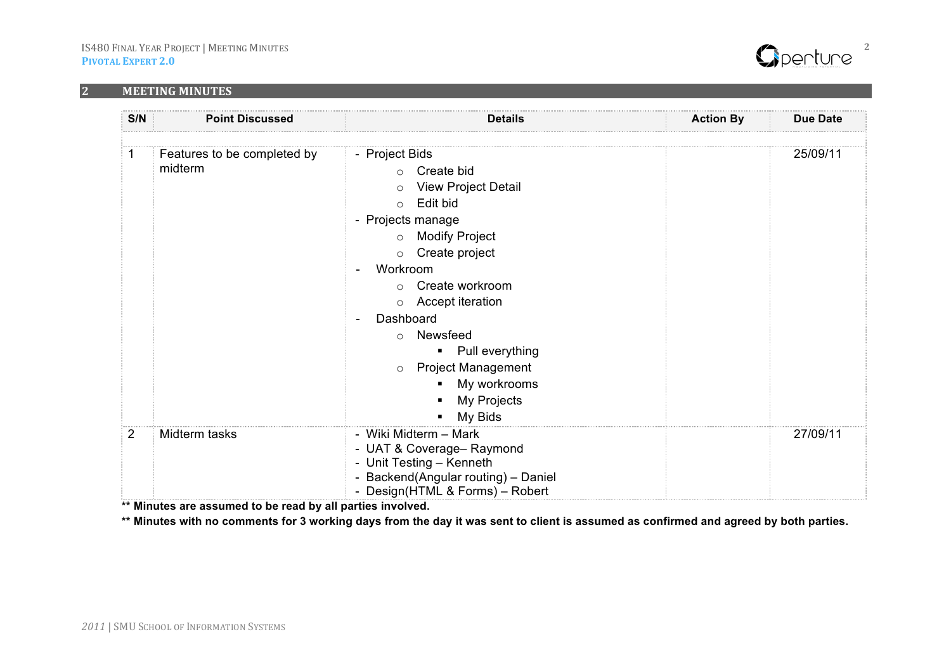### **2 MEETING MINUTES**



| S/N | <b>Point Discussed</b>                 | <b>Details</b>                                                                                                                                                                                                                                                                                                                                                                              | <b>Action By</b> | <b>Due Date</b> |
|-----|----------------------------------------|---------------------------------------------------------------------------------------------------------------------------------------------------------------------------------------------------------------------------------------------------------------------------------------------------------------------------------------------------------------------------------------------|------------------|-----------------|
|     | Features to be completed by<br>midterm | - Project Bids<br>Create bid<br>$\Omega$<br><b>View Project Detail</b><br>$\circ$<br>Edit bid<br>$\circ$<br>- Projects manage<br><b>Modify Project</b><br>$\circ$<br>Create project<br>$\circ$<br>Workroom<br>Create workroom<br>$\circ$<br>Accept iteration<br>$\circ$<br>Dashboard<br>Newsfeed<br>$\circ$<br>Pull everything<br>٠<br><b>Project Management</b><br>$\circ$<br>My workrooms |                  | 25/09/11        |
| 2   | Midterm tasks                          | My Projects<br>My Bids<br>- Wiki Midterm - Mark<br>- UAT & Coverage- Raymond<br>- Unit Testing - Kenneth<br>- Backend(Angular routing) - Daniel<br>- Design(HTML & Forms) - Robert                                                                                                                                                                                                          |                  | 27/09/11        |

**\*\* Minutes are assumed to be read by all parties involved.**

**\*\* Minutes with no comments for 3 working days from the day it was sent to client is assumed as confirmed and agreed by both parties.**